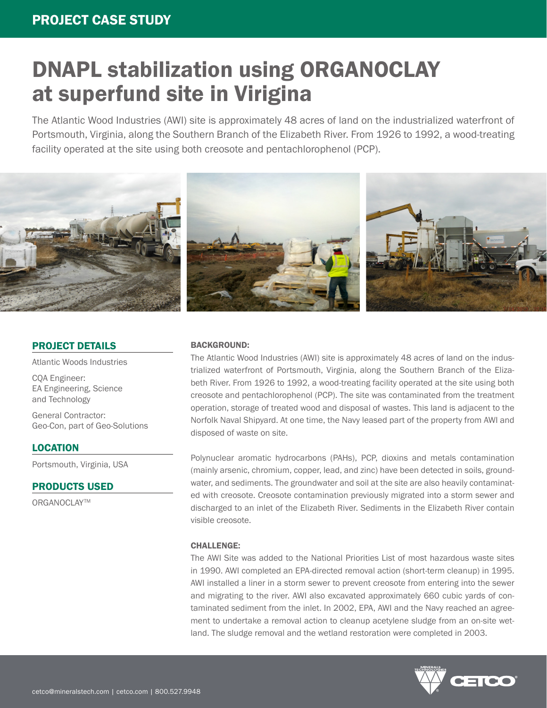The Atlantic Wood Industries (AWI) site is approximately 48 acres of land on the industrialized waterfront of Portsmouth, Virginia, along the Southern Branch of the Elizabeth River. From 1926 to 1992, a wood-treating facility operated at the site using both creosote and pentachlorophenol (PCP).



### PROJECT DETAILS

Atlantic Woods Industries

CQA Engineer: EA Engineering, Science and Technology

General Contractor: Geo-Con, part of Geo-Solutions

### LOCATION

Portsmouth, Virginia, USA

### PRODUCTS USED

ORGANOCLAY™

### BACKGROUND:

The Atlantic Wood Industries (AWI) site is approximately 48 acres of land on the industrialized waterfront of Portsmouth, Virginia, along the Southern Branch of the Elizabeth River. From 1926 to 1992, a wood-treating facility operated at the site using both creosote and pentachlorophenol (PCP). The site was contaminated from the treatment operation, storage of treated wood and disposal of wastes. This land is adjacent to the Norfolk Naval Shipyard. At one time, the Navy leased part of the property from AWI and disposed of waste on site.

Polynuclear aromatic hydrocarbons (PAHs), PCP, dioxins and metals contamination (mainly arsenic, chromium, copper, lead, and zinc) have been detected in soils, groundwater, and sediments. The groundwater and soil at the site are also heavily contaminated with creosote. Creosote contamination previously migrated into a storm sewer and discharged to an inlet of the Elizabeth River. Sediments in the Elizabeth River contain visible creosote.

### CHALLENGE:

The AWI Site was added to the National Priorities List of most hazardous waste sites in 1990. AWI completed an EPA-directed removal action (short-term cleanup) in 1995. AWI installed a liner in a storm sewer to prevent creosote from entering into the sewer and migrating to the river. AWI also excavated approximately 660 cubic yards of contaminated sediment from the inlet. In 2002, EPA, AWI and the Navy reached an agreement to undertake a removal action to cleanup acetylene sludge from an on-site wetland. The sludge removal and the wetland restoration were completed in 2003.

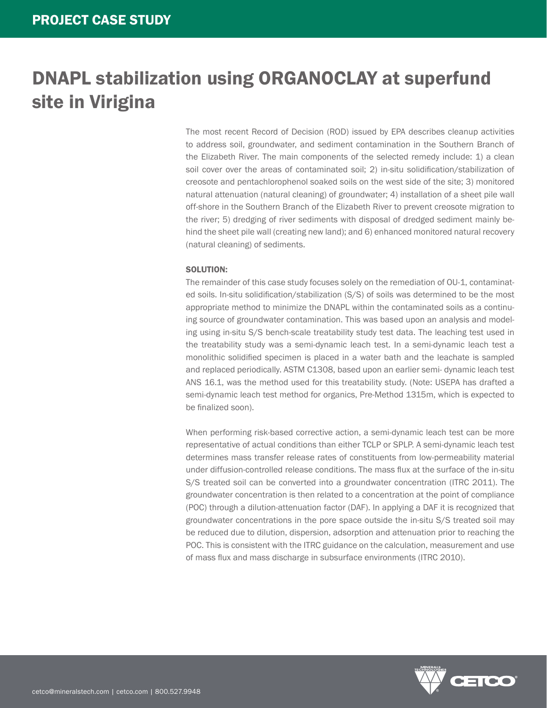The most recent Record of Decision (ROD) issued by EPA describes cleanup activities to address soil, groundwater, and sediment contamination in the Southern Branch of the Elizabeth River. The main components of the selected remedy include: 1) a clean soil cover over the areas of contaminated soil; 2) in-situ solidification/stabilization of creosote and pentachlorophenol soaked soils on the west side of the site; 3) monitored natural attenuation (natural cleaning) of groundwater; 4) installation of a sheet pile wall off-shore in the Southern Branch of the Elizabeth River to prevent creosote migration to the river; 5) dredging of river sediments with disposal of dredged sediment mainly behind the sheet pile wall (creating new land); and 6) enhanced monitored natural recovery (natural cleaning) of sediments.

#### SOLUTION:

The remainder of this case study focuses solely on the remediation of OU-1, contaminated soils. In-situ solidification/stabilization (S/S) of soils was determined to be the most appropriate method to minimize the DNAPL within the contaminated soils as a continuing source of groundwater contamination. This was based upon an analysis and modeling using in-situ S/S bench-scale treatability study test data. The leaching test used in the treatability study was a semi-dynamic leach test. In a semi-dynamic leach test a monolithic solidified specimen is placed in a water bath and the leachate is sampled and replaced periodically. ASTM C1308, based upon an earlier semi- dynamic leach test ANS 16.1, was the method used for this treatability study. (Note: USEPA has drafted a semi-dynamic leach test method for organics, Pre-Method 1315m, which is expected to be finalized soon).

When performing risk-based corrective action, a semi-dynamic leach test can be more representative of actual conditions than either TCLP or SPLP. A semi-dynamic leach test determines mass transfer release rates of constituents from low-permeability material under diffusion-controlled release conditions. The mass flux at the surface of the in-situ S/S treated soil can be converted into a groundwater concentration (ITRC 2011). The groundwater concentration is then related to a concentration at the point of compliance (POC) through a dilution-attenuation factor (DAF). In applying a DAF it is recognized that groundwater concentrations in the pore space outside the in-situ S/S treated soil may be reduced due to dilution, dispersion, adsorption and attenuation prior to reaching the POC. This is consistent with the ITRC guidance on the calculation, measurement and use of mass flux and mass discharge in subsurface environments (ITRC 2010).

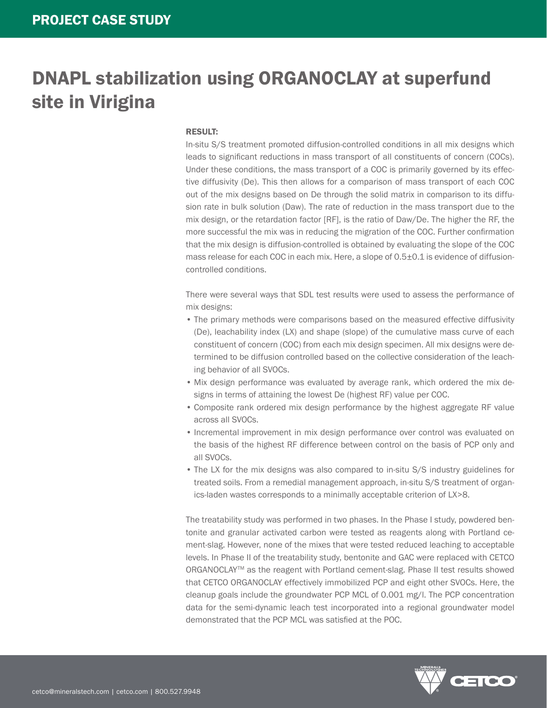#### RESULT:

In-situ S/S treatment promoted diffusion-controlled conditions in all mix designs which leads to significant reductions in mass transport of all constituents of concern (COCs). Under these conditions, the mass transport of a COC is primarily governed by its effective diffusivity (De). This then allows for a comparison of mass transport of each COC out of the mix designs based on De through the solid matrix in comparison to its diffusion rate in bulk solution (Daw). The rate of reduction in the mass transport due to the mix design, or the retardation factor [RF], is the ratio of Daw/De. The higher the RF, the more successful the mix was in reducing the migration of the COC. Further confirmation that the mix design is diffusion-controlled is obtained by evaluating the slope of the COC mass release for each COC in each mix. Here, a slope of 0.5±0.1 is evidence of diffusioncontrolled conditions.

There were several ways that SDL test results were used to assess the performance of mix designs:

- The primary methods were comparisons based on the measured effective diffusivity (De), leachability index (LX) and shape (slope) of the cumulative mass curve of each constituent of concern (COC) from each mix design specimen. All mix designs were determined to be diffusion controlled based on the collective consideration of the leaching behavior of all SVOCs.
- Mix design performance was evaluated by average rank, which ordered the mix designs in terms of attaining the lowest De (highest RF) value per COC.
- Composite rank ordered mix design performance by the highest aggregate RF value across all SVOCs.
- Incremental improvement in mix design performance over control was evaluated on the basis of the highest RF difference between control on the basis of PCP only and all SVOCs.
- The LX for the mix designs was also compared to in-situ S/S industry guidelines for treated soils. From a remedial management approach, in-situ S/S treatment of organics-laden wastes corresponds to a minimally acceptable criterion of LX>8.

The treatability study was performed in two phases. In the Phase I study, powdered bentonite and granular activated carbon were tested as reagents along with Portland cement-slag. However, none of the mixes that were tested reduced leaching to acceptable levels. In Phase II of the treatability study, bentonite and GAC were replaced with CETCO ORGANOCLAY™ as the reagent with Portland cement-slag. Phase II test results showed that CETCO ORGANOCLAY effectively immobilized PCP and eight other SVOCs. Here, the cleanup goals include the groundwater PCP MCL of 0.001 mg/l. The PCP concentration data for the semi-dynamic leach test incorporated into a regional groundwater model demonstrated that the PCP MCL was satisfied at the POC.